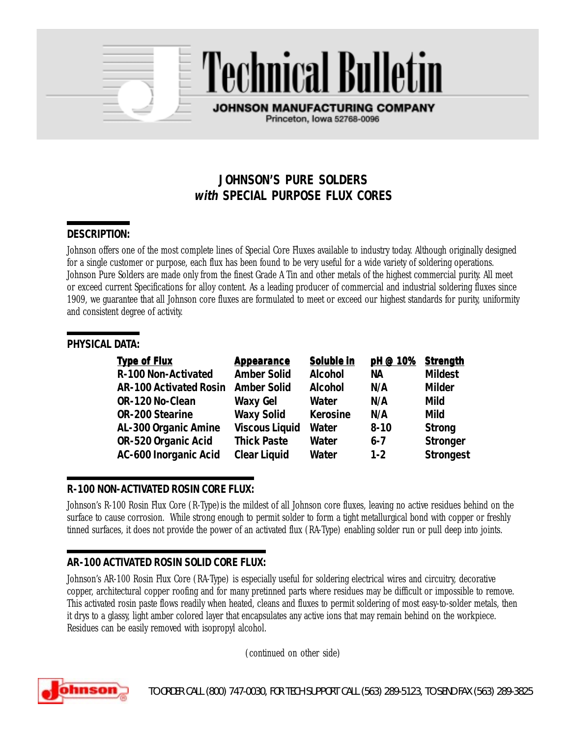# **JOHNSON'S PURE SOLDERS with SPECIAL PURPOSE FLUX CORES**

**Technical Bulletin** 

**JOHNSON MANUFACTURING COMPANY** Princeton, Iowa 52768-0096

# **DESCRIPTION:**

Johnson offers one of the most complete lines of Special Core Fluxes available to industry today. Although originally designed for a single customer or purpose, each flux has been found to be very useful for a wide variety of soldering operations. Johnson Pure Solders are made only from the finest Grade A Tin and other metals of the highest commercial purity. All meet or exceed current Specifications for alloy content. As a leading producer of commercial and industrial soldering fluxes since 1909, we guarantee that all Johnson core fluxes are formulated to meet or exceed our highest standards for purity, uniformity and consistent degree of activity.

#### **PHYSICAL DATA:**

| <b>Type of Flux</b>           | <b>Appearance</b>     | Soluble in      | pH @ 10%  | <b>Strength</b>  |
|-------------------------------|-----------------------|-----------------|-----------|------------------|
| R-100 Non-Activated           | <b>Amber Solid</b>    | <b>Alcohol</b>  | <b>NA</b> | <b>Mildest</b>   |
| <b>AR-100 Activated Rosin</b> | <b>Amber Solid</b>    | <b>Alcohol</b>  | N/A       | <b>Milder</b>    |
| OR-120 No-Clean               | <b>Waxy Gel</b>       | Water           | N/A       | <b>Mild</b>      |
| <b>OR-200 Stearine</b>        | <b>Waxy Solid</b>     | <b>Kerosine</b> | N/A       | <b>Mild</b>      |
| AL-300 Organic Amine          | <b>Viscous Liquid</b> | Water           | $8 - 10$  | <b>Strong</b>    |
| OR-520 Organic Acid           | <b>Thick Paste</b>    | Water           | $6 - 7$   | <b>Stronger</b>  |
| <b>AC-600 Inorganic Acid</b>  | <b>Clear Liquid</b>   | <b>Water</b>    | $1 - 2$   | <b>Strongest</b> |

#### **R-100 NON-ACTIVATED ROSIN CORE FLUX:**

Johnson's R-100 Rosin Flux Core (R-Type) is the mildest of all Johnson core fluxes, leaving no active residues behind on the surface to cause corrosion. While strong enough to permit solder to form a tight metallurgical bond with copper or freshly tinned surfaces, it does not provide the power of an activated flux (RA-Type) enabling solder run or pull deep into joints.

# **AR-100 ACTIVATED ROSIN SOLID CORE FLUX:**

Johnson's AR-100 Rosin Flux Core (RA-Type) is especially useful for soldering electrical wires and circuitry, decorative copper, architectural copper roofing and for many pretinned parts where residues may be difficult or impossible to remove. This activated rosin paste flows readily when heated, cleans and fluxes to permit soldering of most easy-to-solder metals, then it drys to a glassy, light amber colored layer that encapsulates any active ions that may remain behind on the workpiece. Residues can be easily removed with isopropyl alcohol.

(continued on other side)